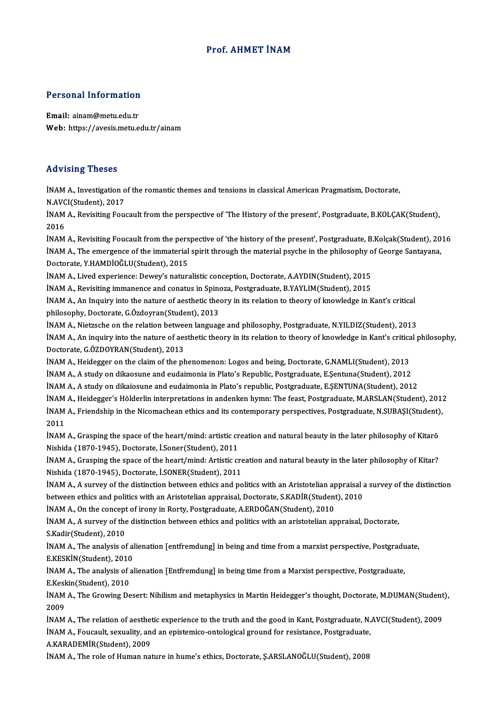## Prof. AHMET İNAM

## Personal Information

Personal Information<br>Email: ainam@metu.edu.tr<br>Web: https://avesis.metu.e Email: ainam@metu.edu.tr<br>Web: https://avesis.metu.edu.tr/ainam

## Advising Theses

Advising Theses<br>İNAM A., Investigation of the romantic themes and tensions in classical American Pragmatism, Doctorate,<br>N.AVCI(Student), 2017 INAM A., Investigation of<br>N.AVCI(Student), 2017<br>NAM A., Boujsiting Fou İNAM A., Investigation of the romantic themes and tensions in classical American Pragmatism, Doctorate,<br>N.AVCI(Student), 2017<br>İNAM A., Revisiting Foucault from the perspective of 'The History of the present', Postgraduate,

N.AVC<br>İNAM<br>2016<br>İNAM INAM A., Revisiting Foucault from the perspective of 'The History of the present', Postgraduate, B.KOLÇAK(Student),<br>2016<br>INAM A., Revisiting Foucault from the perspective of 'the history of the present', Postgraduate, B.Ko

2016<br>İNAM A., Revisiting Foucault from the perspective of 'the history of the present', Postgraduate, B.Kolçak(Student), 20<br>İNAM A., The emergence of the immaterial spirit through the material psyche in the philosophy of G INAM A., Revisiting Foucault from the pers<br>INAM A., The emergence of the immaterial<br>Doctorate, Y.HAMDİOĞLU(Student), 2015<br>INAM A. Lived evperience: Dowey's natur İNAM A., The emergence of the immaterial spirit through the material psyche in the philosophy of George Santayana,<br>Doctorate, Y.HAMDİOĞLU(Student), 2015<br>İNAM A., Lived experience: Dewey's naturalistic conception, Doctorate Doctorate, Y.HAMDİOĞLU(Student), 2015<br>İNAM A., Lived experience: Dewey's naturalistic conception, Doctorate, A.AYDIN(Student), 2015<br>İNAM A., Revisiting immanence and conatus in Spinoza, Postgraduate, B.YAYLIM(Student), 201

INAM A., An Inquiry into the nature of aesthetic theory in its relation to theory of knowledge in Kant's critical<br>philosophy, Doctorate, G.Özdoyran(Student), 2013 iNAM A., Revisiting immanence and conatus in Spino<br>iNAM A., An Inquiry into the nature of aesthetic the<br>philosophy, Doctorate, G.Özdoyran(Student), 2013<br>iNAM A., Nistrashe on the relation between languag INAM A., An Inquiry into the nature of aesthetic theory in its relation to theory of knowledge in Kant's critical<br>philosophy, Doctorate, G.Özdoyran(Student), 2013<br>INAM A., Nietzsche on the relation between language and phi

philosophy, Doctorate, G.Özdoyran(Student), 2013<br>İNAM A., Nietzsche on the relation between language and philosophy, Postgraduate, N.YILDIZ(Student), 2013<br>İNAM A., An inquiry into the nature of aesthetic theory in its rela INAM A., Nietzsche on the relation betwee<br>INAM A., An inquiry into the nature of aes<br>Doctorate, G.ÖZDOYRAN(Student), 2013<br>INAM A., Heidezzen on the claim of the nh INAM A., An inquiry into the nature of aesthetic theory in its relation to theory of knowledge in Kant's critica<br>Doctorate, G.ÖZDOYRAN(Student), 2013<br>INAM A., Heidegger on the claim of the phenomenon: Logos and being, Doct

Doctorate, G.ÖZDOYRAN(Student), 2013<br>İNAM A., Heidegger on the claim of the phenomenon: Logos and being, Doctorate, G.NAMLI(Student), 2013<br>İNAM A., A study on dikaosune and eudaimonia in Plato's Republic, Postgraduate, E.Ş

İNAMA.,Astudy ondikaiosune and eudaimonia inPlato's republic,Postgraduate,E.ŞENTUNA(Student),2012

İNAM A., A study on dikaosune and eudaimonia in Plato's Republic, Postgraduate, E.Şentuna(Student), 2012<br>İNAM A., A study on dikaiosune and eudaimonia in Plato's republic, Postgraduate, E.ŞENTUNA(Student), 2012<br>İNAM A., He

İNAM A., A study on dikaiosune and eudaimonia in Plato's republic, Postgraduate, E.ŞENTUNA(Student), 2012<br>İNAM A., Heidegger's Hölderlin interpretations in andenken hymn: The feast, Postgraduate, M.ARSLAN(Student), 201<br>İNA İNAM<br>İNAM<br>2011<br>İNAM İNAM A., Friendship in the Nicomachean ethics and its contemporary perspectives, Postgraduate, N.SUBAŞI(Student),<br>2011<br>İNAM A., Grasping the space of the heart/mind: artistic creation and natural beauty in the later philos

INAM A., Grasping the space of the heart/mind: artistic creation and natural beauty in the later philosophy of Kitarō

INAM A., Grasping the space of the heart/mind: Artistic creation and natural beauty in the later philosophy of Kitar? Nishida (1870-1945),Doctorate, İ.SONER(Student),2011 INAM A., Grasping the space of the heart/mind: Artistic creation and natural beauty in the later philosophy of Kitar?<br>Nishida (1870-1945), Doctorate, I.SONER(Student), 2011<br>INAM A., A survey of the distinction between ethi

Nishida (1870-1945), Doctorate, İ.SONER(Student), 2011<br>İNAM A., A survey of the distinction between ethics and politics with an Aristotelian appraisal a<br>between ethics and politics with an Aristotelian appraisal, Doctorate INAM A., A survey of the distinction between ethics and politics with an Aristotelian ap<br>between ethics and politics with an Aristotelian appraisal, Doctorate, S.KADIR(Student<br>INAM A., On the concept of irony in Rorty, Pos

İNAM A., On the concept of irony in Rorty, Postgraduate, A.ERDOĞAN(Student), 2010

between ethics and politics with an Aristotelian appraisal, Doctorate, S.KADİR(Student), 2010<br>
İNAM A., On the concept of irony in Rorty, Postgraduate, A.ERDOĞAN(Student), 2010<br>
İNAM A., A survey of the distinction between İNAM A., A survey of the distinction between ethics and politics with an aristotelian appraisal, Doctorate,<br>S.Kadir(Student), 2010<br>İNAM A., The analysis of alienation [entfremdung] in being and time from a marxist perspect

S.Kadir(Student), 2010<br>İNAM A., The analysis of al<br>E.KESKİN(Student), 2010<br>İNAM A. The analysis of al İNAM A., The analysis of alienation [entfremdung] in being and time from a marxist perspective, Postgradu<br>E.KESKİN(Student), 2010<br>İNAM A., The analysis of alienation [Entfremdung] in being time from a Marxist perspective,

E.KESKİN(Student), 2010<br>İNAM A., The analysis of alienation [Entfremdung] in being time from a Marxist perspective, Postgraduate,<br>E.Keskin(Student), 2010 İNAM A., The analysis of alienation [Entfremdung] in being time from a Marxist perspective, Postgraduate,<br>E.Keskin(Student), 2010<br>İNAM A., The Growing Desert: Nihilism and metaphysics in Martin Heidegger's thought, Doctora

E.Kes<mark>l</mark><br>İNAM<br>2009<br>İNAM INAM A., The Growing Desert: Nihilism and metaphysics in Martin Heidegger's thought, Doctorate, M.DUMAN(Student<br>2009<br>INAM A., The relation of aesthetic experience to the truth and the good in Kant, Postgraduate, N.AVCI(Stu

2009<br>İNAM A., The relation of aesthetic experience to the truth and the good in Kant, Postgraduate, N.<br>İNAM A., Foucault, sexuality, and an epistemico-ontological ground for resistance, Postgraduate,<br>A.KARADEMİR(Student), **INAM A., The relation of aesthet<br>INAM A., Foucault, sexuality, and<br>A.KARADEMİR(Student), 2009** İNAM A., Foucault, sexuality, and an epistemico-ontological ground for resistance, Postgraduate,<br>A.KARADEMİR(Student), 2009<br>İNAM A., The role of Human nature in hume's ethics, Doctorate, Ş.ARSLANOĞLU(Student), 2008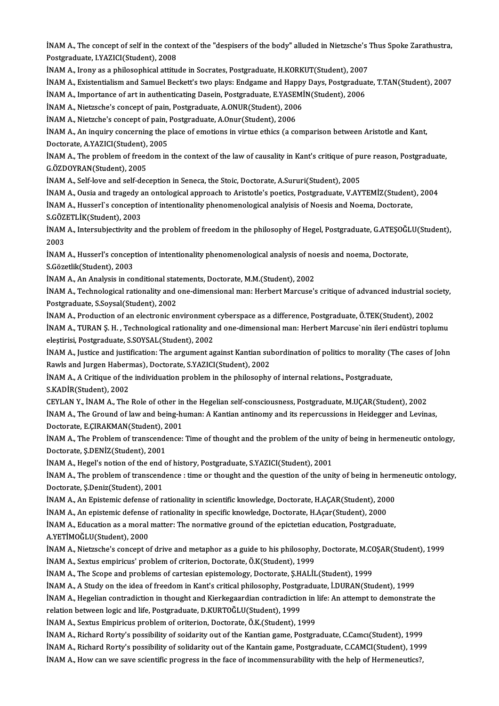iNAM A., The concept of self in the context of the "despisers of the body" alluded in Nietzsche's Thus Spoke Zarathustra,<br>Restanaduate J.Y.471Cl(Student), 2009 **INAM A., The concept of self in the cont**<br>Postgraduate, I.YAZICI(Student), 2008<br>INAM A. Jrony as a philosophical attitu INAM A., The concept of self in the context of the "despisers of the body" alluded in Nietzsche's '<br>Postgraduate, I.YAZICI(Student), 2008<br>INAM A., Irony as a philosophical attitude in Socrates, Postgraduate, H.KORKUT(Stude Postgraduate, I.YAZICI(Student), 2008<br>İNAM A., Irony as a philosophical attitude in Socrates, Postgraduate, H.KORKUT(Student), 2007<br>İNAM A., Existentialism and Samuel Beckett's two plays: Endgame and Happy Days, Postgradua

INAM A., Irony as a philosophical attitude in Socrates, Postgraduate, H.KORKUT(Student), 2007<br>INAM A., Existentialism and Samuel Beckett's two plays: Endgame and Happy Days, Postgradua<br>INAM A., Importance of art in authent INAM A., Existentialism and Samuel Beckett's two plays: Endgame and Happy<br>INAM A., Importance of art in authenticating Dasein, Postgraduate, E.YASEMI<br>INAM A., Nietzsche's concept of pain, Postgraduate, A.ONUR(Student), 200

INAM A., Importance of art in authenticating Dasein, Postgraduate, E.YASEI<br>INAM A., Nietzsche's concept of pain, Postgraduate, A.ONUR(Student), 2006<br>INAM A., Nietzche's concept of pain, Postgraduate, A.Onur(Student), 2006<br>

INAM A., Nietzsche's concept of pain, Postgraduate, A.ONUR(Student), 2006<br>INAM A., Nietzche's concept of pain, Postgraduate, A.Onur(Student), 2006<br>INAM A., An inquiry concerning the place of emotions in virtue ethics (a co INAM A., Nietzche's concept of pain,<br>INAM A., An inquiry concerning the p<br>Doctorate, A.YAZICI(Student), 2005<br>INAM A., The problem of freedom in INAM A., An inquiry concerning the place of emotions in virtue ethics (a comparison between Aristotle and Kant,<br>Doctorate, A.YAZICI(Student), 2005<br>INAM A., The problem of freedom in the context of the law of causality in K

Doctorate, A.YAZICI(Student),<br>İNAM A., The problem of freed<br>G.ÖZDOYRAN(Student), 2005<br>İNAM A. Self lave and self dea INAM A., The problem of freedom in the context of the law of causality in Kant's critique of pu<br>G.ÖZDOYRAN(Student), 2005<br>INAM A., Self-love and self-deception in Seneca, the Stoic, Doctorate, A.Sururi(Student), 2005<br>INAM

G.ÖZDOYRAN(Student), 2005<br>İNAM A., Self-love and self-deception in Seneca, the Stoic, Doctorate, A.Sururi(Student), 2005<br>İNAM A., Ousia and tragedy an ontological approach to Aristotle's poetics, Postgraduate, V.AYTEMİZ(St

İNAM A., Self-love and self-deception in Seneca, the Stoic, Doctorate, A.Sururi(Student), 2005<br>İNAM A., Ousia and tragedy an ontological approach to Aristotle's poetics, Postgraduate, V.AYTEMİZ(Student<br>İNAM A., Husserl`s c **İNAM A., Ousia and tragedy a**<br>İNAM A., Husserl`s conceptio<br>S.GÖZETLİK(Student), 2003<br>İNAM A. Intersubiectivity an

İNAM A., Husserl`s conception of intentionality phenomenological analyisis of Noesis and Noema, Doctorate,<br>S.GÖZETLİK(Student), 2003<br>İNAM A., Intersubjectivity and the problem of freedom in the philosophy of Hegel, Postgra S.GÖZETLİK(Student), 2003<br>İNAM A., Intersubjectivity ar<br>2003 İNAM A., Intersubjectivity and the problem of freedom in the philosophy of Hegel, Postgraduate, G.ATEŞOĞI<br>2003<br>İNAM A., Husserl's conception of intentionality phenomenological analysis of noesis and noema, Doctorate,<br>S.Cör

INAM A., Husserl's conception of intentionality phenomenological analysis of noesis and noema, Doctorate, S.Gözetlik(Student), 2003 İNAM A., Husserl's conception of intentionality phenomenological analysis of no<br>S.Gözetlik(Student), 2003<br>İNAM A., An Analysis in conditional statements, Doctorate, M.M.(Student), 2002<br>İNAM A., Technological pationality an

İNAM A., Technological rationality and one-dimensional man: Herbert Marcuse's critique of advanced industrial society,<br>Postgraduate, S.Soysal(Student), 2002 INAM A., An Analysis in conditional stat<br>INAM A., Technological rationality and<br>Postgraduate, S.Soysal(Student), 2002<br>INAM A. Production of an electronic an İNAM A., Technological rationality and one-dimensional man: Herbert Marcuse's critique of advanced industrial soc<br>Postgraduate, S.Soysal(Student), 2002<br>İNAM A., Production of an electronic environment cyberspace as a diffe

Postgraduate, S.Soysal(Student), 2002<br>İNAM A., Production of an electronic environment cyberspace as a difference, Postgraduate, Ö.TEK(Student), 2002<br>İNAM A., TURAN Ş. H. , Technological rationality and one-dimensional man INAM A., Production of an electronic environment<br>INAM A., TURAN Ş. H. , Technological rationality ar<br>eleştirisi, Postgraduate, S.SOYSAL(Student), 2002<br>INAM A. Justice and iustification: The argument ac İNAM A., TURAN Ş. H. , Technological rationality and one-dimensional man: Herbert Marcuse`nin ileri endüstri toplumu<br>eleştirisi, Postgraduate, S.SOYSAL(Student), 2002<br>İNAM A., Justice and justification: The argument agains

eleştirisi, Postgraduate, S.SOYSAL(Student), 2002<br>İNAM A., Justice and justification: The argument against Kantian sul<br>Rawls and Jurgen Habermas), Doctorate, S.YAZICI(Student), 2002<br>İNAM A. A Critique of the individuation İNAM A., Justice and justification: The argument against Kantian subordination of politics to morality ('I<br>Rawls and Jurgen Habermas), Doctorate, S.YAZICI(Student), 2002<br>İNAM A., A Critique of the individuation problem in

Rawls and Jurgen Habermas), Doctorate, S.YAZICI(Student), 2002<br>İNAM A., A Critique of the individuation problem in the philosophy of internal relations., Postgraduate,<br>S.KADİR(Student), 2002

CEYLAN Y., İNAM A., The Role of other in the Hegelian self-consciousness, Postgraduate, M.UÇAR(Student), 2002 S.KADİR(Student), 2002<br>CEYLAN Y., İNAM A., The Role of other in the Hegelian self-consciousness, Postgraduate, M.UÇAR(Student), 2002<br>İNAM A., The Ground of law and being-human: A Kantian antinomy and its repercussions in H CEYLAN Y., İNAM A., The Role of other in<br>İNAM A., The Ground of law and being-hi<br>Doctorate, E.ÇIRAKMAN(Student), 2001<br>İNAM A., The Breblem of transsandansay İNAM A., The Ground of law and being-human: A Kantian antinomy and its repercussions in Heidegger and Levinas,<br>Doctorate, E.ÇIRAKMAN(Student), 2001<br>İNAM A., The Problem of transcendence: Time of thought and the problem of

Doctorate, E.ÇIRAKMAN(Student), 2001<br>İNAM A., The Problem of transcendence:<br>Doctorate, Ş.DENİZ(Student), 2001 INAM A., The Problem of transcendence: Time of thought and the problem of the unit<br>Doctorate, Ş.DENİZ(Student), 2001<br>INAM A., Hegel's notion of the end of history, Postgraduate, S.YAZICI(Student), 2001<br>INAM A., The problem

INAM A., Hegel's notion of the end of history, Postgraduate, S.YAZICI(Student), 2001

INAM A., The problem of transcendence : time or thought and the question of the unity of being in hermeneutic ontology,<br>Doctorate, Ş.Deniz(Student), 2001 INAM A., The problem of transcendence : time or thought and the question of the unity of being in herm<br>Doctorate, Ş.Deniz(Student), 2001<br>INAM A., An Epistemic defense of rationality in scientific knowledge, Doctorate, H.AÇ Doctorate, Ş.Deniz(Student), 2001<br>İNAM A., An Epistemic defense of rationality in scientific knowledge, Doctorate, H.AÇAR(Student), 200<br>İNAM A., An epistemic defense of rationality in specific knowledge, Doctorate, H.Açar(

INAM A., An Epistemic defense of rationality in scientific knowledge, Doctorate, H.AÇAR(Student), 2000<br>INAM A., An epistemic defense of rationality in specific knowledge, Doctorate, H.Açar(Student), 2000<br>INAM A., Education İNAM A., An epistemic defense of rationality in specific knowledge, Doctorate, H.Açar(Student), 2000<br>İNAM A., Education as a moral matter: The normative ground of the epictetian education, Postgraduate,<br>A.YETİMOĞLU(Student

İNAM A., Education as a moral matter: The normative ground of the epictetian education, Postgraduate,<br>A.YETİMOĞLU(Student), 2000<br>İNAM A., Nietzsche's concept of drive and metaphor as a guide to his philosophy, Doctorate, M A.YETİMOĞLU(Student), 2000<br>İNAM A., Nietzsche's concept of drive and metaphor as a guide to his philosophy<br>İNAM A., Sextus empiricus' problem of criterion, Doctorate, Ö.K(Student), 1999<br>İNAM A., The Scene and problems of c INAM A., Nietzsche's concept of drive and metaphor as a guide to his philosophy, Doctorate, M.C.<br>INAM A., Sextus empiricus' problem of criterion, Doctorate, Ö.K(Student), 1999<br>INAM A., The Scope and problems of cartesian e İNAM A., Sextus empiricus' problem of criterion, Doctorate, Ö.K(Student), 1999<br>İNAM A., The Scope and problems of cartesian epistemology, Doctorate, Ş.HALİL(Student), 1999<br>İNAM A., A Study on the idea of freedom in Kant's

INAM A., The Scope and problems of cartesian epistemology, Doctorate, Ş.HALİL(Student), 1999<br>INAM A., A Study on the idea of freedom in Kant's critical philosophy, Postgraduate, İ.DURAN(Student), 1999<br>INAM A., Hegelian con INAM A., A Study on the idea of freedom in Kant's critical philosophy, Postgraduate, NAM A., Hegelian contradiction in thought and Kierkegaardian contradiction<br>relation between logic and life, Postgraduate, D.KURTOĞLU(Stud İNAM A., Hegelian contradiction in thought and Kierkegaardian contradiction in l<br>relation between logic and life, Postgraduate, D.KURTOĞLU(Student), 1999<br>İNAM A., Sextus Empiricus problem of oriterion, Doctorate, Ö.K.(Stud relation between logic and life, Postgraduate, D.KURTOĞLU(Student), 1999<br>İNAM A., Sextus Empiricus problem of oriterion, Doctorate, Ö.K.(Student), 1999<br>İNAM A., Richard Rorty's possibility of soidarity out of the Kantian g

INAM A., Richard Rorty's possibility of solidarity out of the Kantain game, Postgraduate, C.CAMCI(Student), 1999

INAM A., How can we save scientific progress in the face of incommensurability with the help of Hermeneutics?,